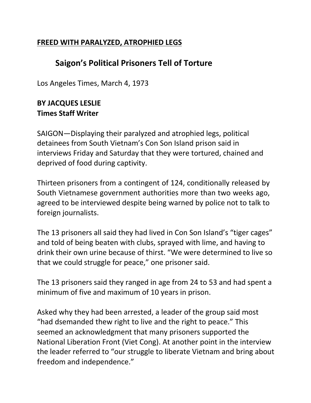## **FREED WITH PARALYZED, ATROPHIED LEGS**

## **Saigon's Political Prisoners Tell of Torture**

Los Angeles Times, March 4, 1973

## **BY JACQUES LESLIE Times Staff Writer**

SAIGON—Displaying their paralyzed and atrophied legs, political detainees from South Vietnam's Con Son Island prison said in interviews Friday and Saturday that they were tortured, chained and deprived of food during captivity.

Thirteen prisoners from a contingent of 124, conditionally released by South Vietnamese government authorities more than two weeks ago, agreed to be interviewed despite being warned by police not to talk to foreign journalists.

The 13 prisoners all said they had lived in Con Son Island's "tiger cages" and told of being beaten with clubs, sprayed with lime, and having to drink their own urine because of thirst. "We were determined to live so that we could struggle for peace," one prisoner said.

The 13 prisoners said they ranged in age from 24 to 53 and had spent a minimum of five and maximum of 10 years in prison.

Asked why they had been arrested, a leader of the group said most "had dsemanded thew right to live and the right to peace." This seemed an acknowledgment that many prisoners supported the National Liberation Front (Viet Cong). At another point in the interview the leader referred to "our struggle to liberate Vietnam and bring about freedom and independence."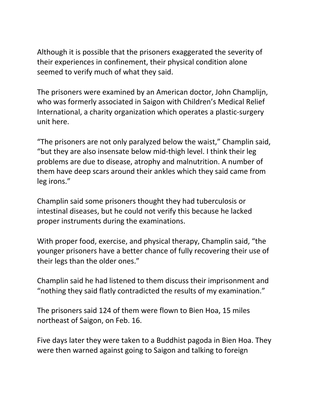Although it is possible that the prisoners exaggerated the severity of their experiences in confinement, their physical condition alone seemed to verify much of what they said.

The prisoners were examined by an American doctor, John Champlijn, who was formerly associated in Saigon with Children's Medical Relief International, a charity organization which operates a plastic-surgery unit here.

"The prisoners are not only paralyzed below the waist," Champlin said, "but they are also insensate below mid-thigh level. I think their leg problems are due to disease, atrophy and malnutrition. A number of them have deep scars around their ankles which they said came from leg irons."

Champlin said some prisoners thought they had tuberculosis or intestinal diseases, but he could not verify this because he lacked proper instruments during the examinations.

With proper food, exercise, and physical therapy, Champlin said, "the younger prisoners have a better chance of fully recovering their use of their legs than the older ones."

Champlin said he had listened to them discuss their imprisonment and "nothing they said flatly contradicted the results of my examination."

The prisoners said 124 of them were flown to Bien Hoa, 15 miles northeast of Saigon, on Feb. 16.

Five days later they were taken to a Buddhist pagoda in Bien Hoa. They were then warned against going to Saigon and talking to foreign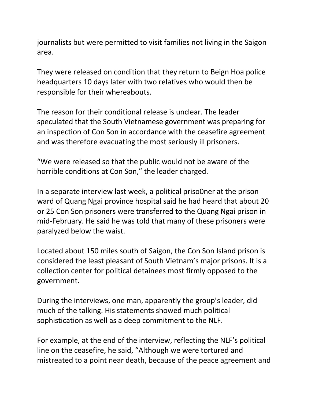journalists but were permitted to visit families not living in the Saigon area.

They were released on condition that they return to Beign Hoa police headquarters 10 days later with two relatives who would then be responsible for their whereabouts.

The reason for their conditional release is unclear. The leader speculated that the South Vietnamese government was preparing for an inspection of Con Son in accordance with the ceasefire agreement and was therefore evacuating the most seriously ill prisoners.

"We were released so that the public would not be aware of the horrible conditions at Con Son," the leader charged.

In a separate interview last week, a political priso0ner at the prison ward of Quang Ngai province hospital said he had heard that about 20 or 25 Con Son prisoners were transferred to the Quang Ngai prison in mid-February. He said he was told that many of these prisoners were paralyzed below the waist.

Located about 150 miles south of Saigon, the Con Son Island prison is considered the least pleasant of South Vietnam's major prisons. It is a collection center for political detainees most firmly opposed to the government.

During the interviews, one man, apparently the group's leader, did much of the talking. His statements showed much political sophistication as well as a deep commitment to the NLF.

For example, at the end of the interview, reflecting the NLF's political line on the ceasefire, he said, "Although we were tortured and mistreated to a point near death, because of the peace agreement and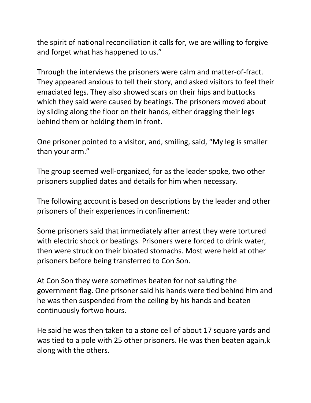the spirit of national reconciliation it calls for, we are willing to forgive and forget what has happened to us."

Through the interviews the prisoners were calm and matter-of-fract. They appeared anxious to tell their story, and asked visitors to feel their emaciated legs. They also showed scars on their hips and buttocks which they said were caused by beatings. The prisoners moved about by sliding along the floor on their hands, either dragging their legs behind them or holding them in front.

One prisoner pointed to a visitor, and, smiling, said, "My leg is smaller than your arm."

The group seemed well-organized, for as the leader spoke, two other prisoners supplied dates and details for him when necessary.

The following account is based on descriptions by the leader and other prisoners of their experiences in confinement:

Some prisoners said that immediately after arrest they were tortured with electric shock or beatings. Prisoners were forced to drink water, then were struck on their bloated stomachs. Most were held at other prisoners before being transferred to Con Son.

At Con Son they were sometimes beaten for not saluting the government flag. One prisoner said his hands were tied behind him and he was then suspended from the ceiling by his hands and beaten continuously fortwo hours.

He said he was then taken to a stone cell of about 17 square yards and was tied to a pole with 25 other prisoners. He was then beaten again,k along with the others.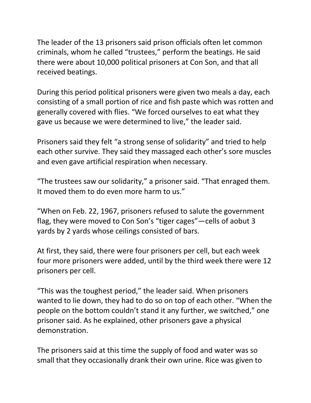The leader of the 13 prisoners said prison officials often let common criminals, whom he called "trustees," perform the beatings. He said there were about 10,000 political prisoners at Con Son, and that all received beatings.

During this period political prisoners were given two meals a day, each consisting of a small portion of rice and fish paste which was rotten and generally covered with flies. "We forced ourselves to eat what they gave us because we were determined to live," the leader said.

Prisoners said they felt "a strong sense of solidarity" and tried to help each other survive. They said they massaged each other's sore muscles and even gave artificial respiration when necessary.

"The trustees saw our solidarity," a prisoner said. "That enraged them. It moved them to do even more harm to us."

"When on Feb. 22, 1967, prisoners refused to salute the government flag, they were moved to Con Son's "tiger cages"—cells of aobut 3 yards by 2 yards whose ceilings consisted of bars.

At first, they said, there were four prisoners per cell, but each week four more prisoners were added, until by the third week there were 12 prisoners per cell.

"This was the toughest period," the leader said. When prisoners wanted to lie down, they had to do so on top of each other. "When the people on the bottom couldn't stand it any further, we switched," one prisoner said. As he explained, other prisoners gave a physical demonstration.

The prisoners said at this time the supply of food and water was so small that they occasionally drank their own urine. Rice was given to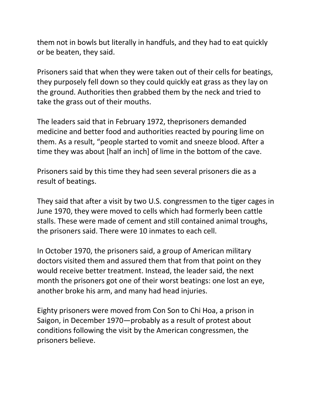them not in bowls but literally in handfuls, and they had to eat quickly or be beaten, they said.

Prisoners said that when they were taken out of their cells for beatings, they purposely fell down so they could quickly eat grass as they lay on the ground. Authorities then grabbed them by the neck and tried to take the grass out of their mouths.

The leaders said that in February 1972, theprisoners demanded medicine and better food and authorities reacted by pouring lime on them. As a result, "people started to vomit and sneeze blood. After a time they was about [half an inch] of lime in the bottom of the cave.

Prisoners said by this time they had seen several prisoners die as a result of beatings.

They said that after a visit by two U.S. congressmen to the tiger cages in June 1970, they were moved to cells which had formerly been cattle stalls. These were made of cement and still contained animal troughs, the prisoners said. There were 10 inmates to each cell.

In October 1970, the prisoners said, a group of American military doctors visited them and assured them that from that point on they would receive better treatment. Instead, the leader said, the next month the prisoners got one of their worst beatings: one lost an eye, another broke his arm, and many had head injuries.

Eighty prisoners were moved from Con Son to Chi Hoa, a prison in Saigon, in December 1970—probably as a result of protest about conditions following the visit by the American congressmen, the prisoners believe.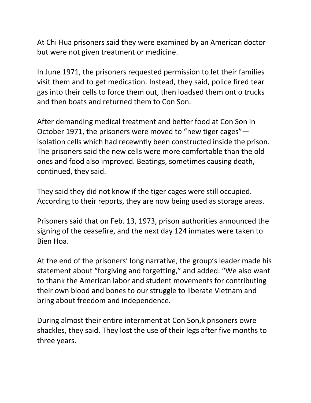At Chi Hua prisoners said they were examined by an American doctor but were not given treatment or medicine.

In June 1971, the prisoners requested permission to let their families visit them and to get medication. Instead, they said, police fired tear gas into their cells to force them out, then loadsed them ont o trucks and then boats and returned them to Con Son.

After demanding medical treatment and better food at Con Son in October 1971, the prisoners were moved to "new tiger cages" isolation cells which had recewntly been constructed inside the prison. The prisoners said the new cells were more comfortable than the old ones and food also improved. Beatings, sometimes causing death, continued, they said.

They said they did not know if the tiger cages were still occupied. According to their reports, they are now being used as storage areas.

Prisoners said that on Feb. 13, 1973, prison authorities announced the signing of the ceasefire, and the next day 124 inmates were taken to Bien Hoa.

At the end of the prisoners' long narrative, the group's leader made his statement about "forgiving and forgetting," and added: "We also want to thank the American labor and student movements for contributing their own blood and bones to our struggle to liberate Vietnam and bring about freedom and independence.

During almost their entire internment at Con Son,k prisoners owre shackles, they said. They lost the use of their legs after five months to three years.